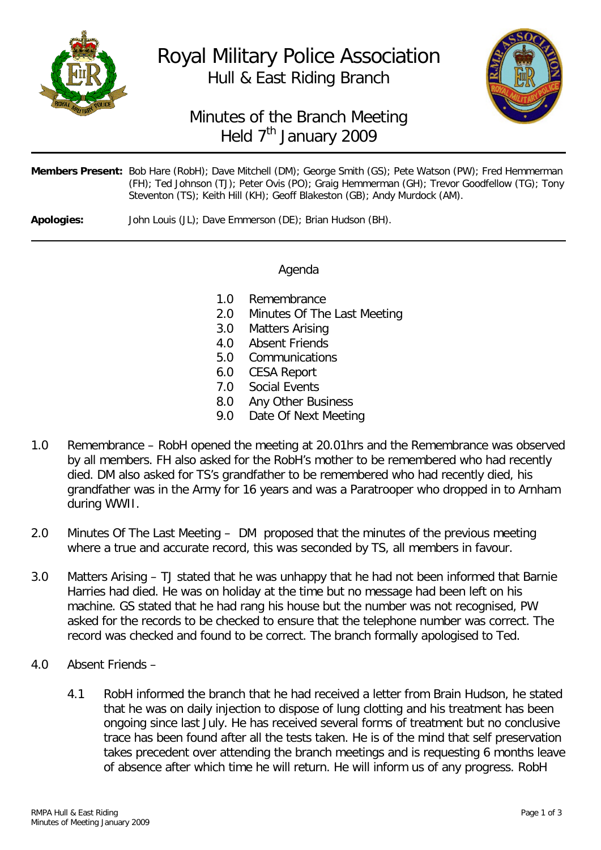

Royal Military Police Association Hull & East Riding Branch



# Minutes of the Branch Meeting Held 7<sup>th</sup> January 2009

| Members Present: Bob Hare (RobH); Dave Mitchell (DM); George Smith (GS); Pete Watson (PW); Fred Hemmerman |
|-----------------------------------------------------------------------------------------------------------|
| (FH); Ted Johnson (TJ); Peter Ovis (PO); Graig Hemmerman (GH); Trevor Goodfellow (TG); Tony               |
| Steventon (TS); Keith Hill (KH); Geoff Blakeston (GB); Andy Murdock (AM).                                 |

**Apologies:** John Louis (JL); Dave Emmerson (DE); Brian Hudson (BH).

#### Agenda

- 1.0 Remembrance
- 2.0 Minutes Of The Last Meeting
- 3.0 Matters Arising
- 4.0 Absent Friends
- 5.0 Communications
- 6.0 CESA Report
- 7.0 Social Events
- 8.0 Any Other Business<br>9.0 Date Of Next Meetir
- Date Of Next Meeting
- 1.0 Remembrance RobH opened the meeting at 20.01hrs and the Remembrance was observed by all members. FH also asked for the RobH's mother to be remembered who had recently died. DM also asked for TS's grandfather to be remembered who had recently died, his grandfather was in the Army for 16 years and was a Paratrooper who dropped in to Arnham during WWII.
- 2.0 Minutes Of The Last Meeting DM proposed that the minutes of the previous meeting where a true and accurate record, this was seconded by TS, all members in favour.
- 3.0 Matters Arising TJ stated that he was unhappy that he had not been informed that Barnie Harries had died. He was on holiday at the time but no message had been left on his machine. GS stated that he had rang his house but the number was not recognised, PW asked for the records to be checked to ensure that the telephone number was correct. The record was checked and found to be correct. The branch formally apologised to Ted.
- 4.0 Absent Friends
	- 4.1 RobH informed the branch that he had received a letter from Brain Hudson, he stated that he was on daily injection to dispose of lung clotting and his treatment has been ongoing since last July. He has received several forms of treatment but no conclusive trace has been found after all the tests taken. He is of the mind that self preservation takes precedent over attending the branch meetings and is requesting 6 months leave of absence after which time he will return. He will inform us of any progress. RobH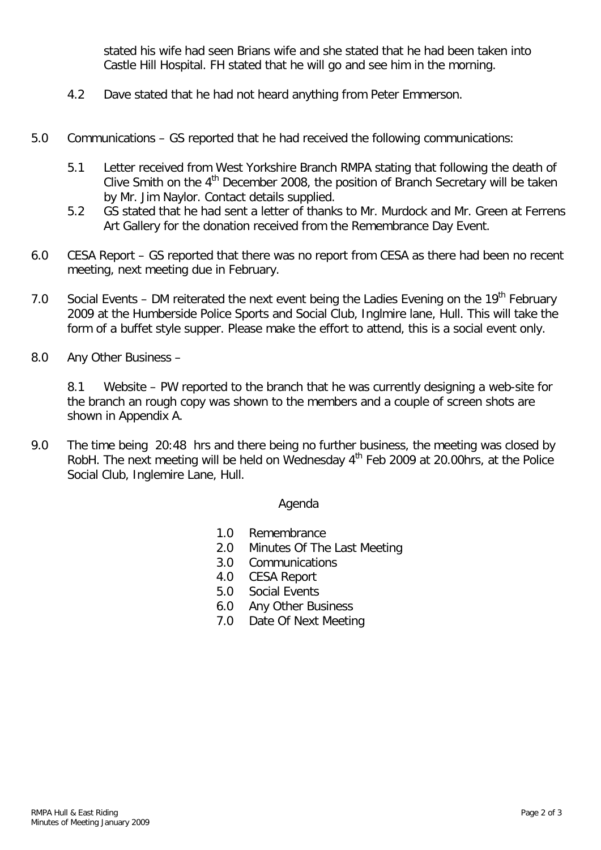stated his wife had seen Brians wife and she stated that he had been taken into Castle Hill Hospital. FH stated that he will go and see him in the morning.

- 4.2 Dave stated that he had not heard anything from Peter Emmerson.
- 5.0 Communications GS reported that he had received the following communications:
	- 5.1 Letter received from West Yorkshire Branch RMPA stating that following the death of Clive Smith on the  $4<sup>th</sup>$  December 2008, the position of Branch Secretary will be taken by Mr. Jim Naylor. Contact details supplied.
	- 5.2 GS stated that he had sent a letter of thanks to Mr. Murdock and Mr. Green at Ferrens Art Gallery for the donation received from the Remembrance Day Event.
- 6.0 CESA Report GS reported that there was no report from CESA as there had been no recent meeting, next meeting due in February.
- 7.0 Social Events DM reiterated the next event being the Ladies Evening on the 19<sup>th</sup> February 2009 at the Humberside Police Sports and Social Club, Inglmire lane, Hull. This will take the form of a buffet style supper. Please make the effort to attend, this is a social event only.
- 8.0 Any Other Business –

8.1 Website – PW reported to the branch that he was currently designing a web-site for the branch an rough copy was shown to the members and a couple of screen shots are shown in Appendix A.

9.0 The time being 20:48 hrs and there being no further business, the meeting was closed by RobH. The next meeting will be held on Wednesday  $4<sup>th</sup>$  Feb 2009 at 20.00hrs, at the Police Social Club, Inglemire Lane, Hull.

#### Agenda

- 1.0 Remembrance<br>2.0 Minutes Of The
- Minutes Of The Last Meeting
- 3.0 Communications
- 4.0 CESA Report<br>5.0 Social Events
- Social Events
- 6.0 Any Other Business
- 7.0 Date Of Next Meeting